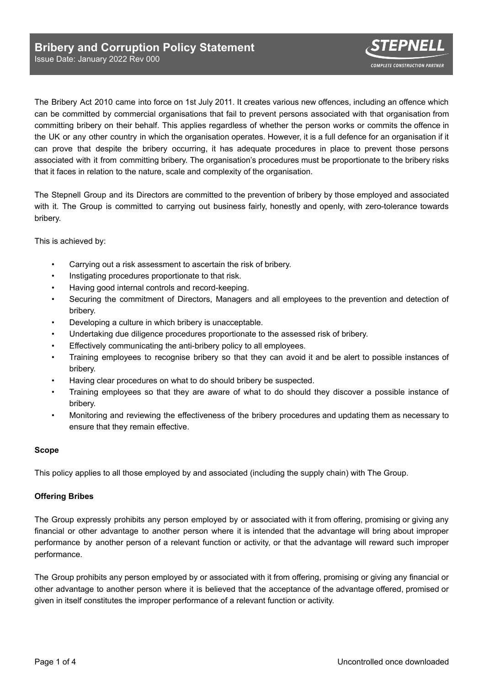The Bribery Act 2010 came into force on 1st July 2011. It creates various new offences, including an offence which can be committed by commercial organisations that fail to prevent persons associated with that organisation from committing bribery on their behalf. This applies regardless of whether the person works or commits the offence in the UK or any other country in which the organisation operates. However, it is a full defence for an organisation if it can prove that despite the bribery occurring, it has adequate procedures in place to prevent those persons associated with it from committing bribery. The organisation's procedures must be proportionate to the bribery risks that it faces in relation to the nature, scale and complexity of the organisation.

The Stepnell Group and its Directors are committed to the prevention of bribery by those employed and associated with it. The Group is committed to carrying out business fairly, honestly and openly, with zero-tolerance towards bribery.

This is achieved by:

- Carrying out a risk assessment to ascertain the risk of bribery.
- Instigating procedures proportionate to that risk.
- Having good internal controls and record-keeping.
- Securing the commitment of Directors, Managers and all employees to the prevention and detection of bribery.
- Developing a culture in which bribery is unacceptable.
- Undertaking due diligence procedures proportionate to the assessed risk of bribery.
- Effectively communicating the anti-bribery policy to all employees.
- Training employees to recognise bribery so that they can avoid it and be alert to possible instances of bribery.
- Having clear procedures on what to do should bribery be suspected.
- Training employees so that they are aware of what to do should they discover a possible instance of bribery.
- Monitoring and reviewing the effectiveness of the bribery procedures and updating them as necessary to ensure that they remain effective.

# **Scope**

This policy applies to all those employed by and associated (including the supply chain) with The Group.

# **Offering Bribes**

The Group expressly prohibits any person employed by or associated with it from offering, promising or giving any financial or other advantage to another person where it is intended that the advantage will bring about improper performance by another person of a relevant function or activity, or that the advantage will reward such improper performance.

The Group prohibits any person employed by or associated with it from offering, promising or giving any financial or other advantage to another person where it is believed that the acceptance of the advantage offered, promised or given in itself constitutes the improper performance of a relevant function or activity.

**COMPLETE CONSTRUCTION PARTNER**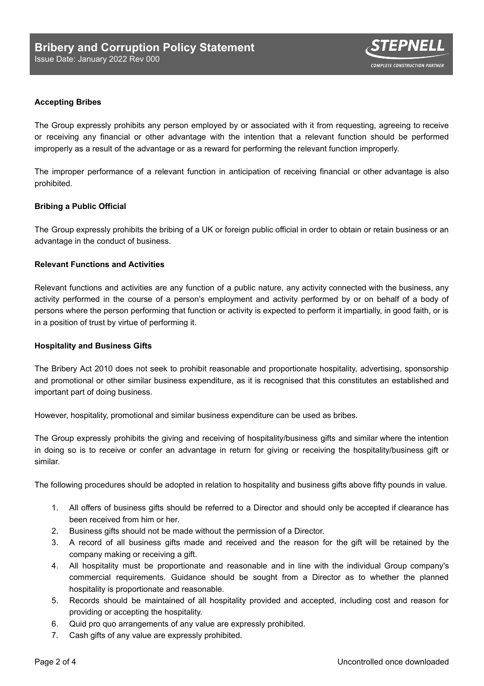

# **Accepting Bribes**

The Group expressly prohibits any person employed by or associated with it from requesting, agreeing to receive or receiving any financial or other advantage with the intention that a relevant function should be performed improperly as a result of the advantage or as a reward for performing the relevant function improperly.

The improper performance of a relevant function in anticipation of receiving financial or other advantage is also prohibited.

# **Bribing a Public Official**

The Group expressly prohibits the bribing of a UK or foreign public official in order to obtain or retain business or an advantage in the conduct of business.

### **Relevant Functions and Activities**

Relevant functions and activities are any function of a public nature, any activity connected with the business, any activity performed in the course of a person's employment and activity performed by or on behalf of a body of persons where the person performing that function or activity is expected to perform it impartially, in good faith, or is in a position of trust by virtue of performing it.

#### **Hospitality and Business Gifts**

The Bribery Act 2010 does not seek to prohibit reasonable and proportionate hospitality, advertising, sponsorship and promotional or other similar business expenditure, as it is recognised that this constitutes an established and important part of doing business.

However, hospitality, promotional and similar business expenditure can be used as bribes.

The Group expressly prohibits the giving and receiving of hospitality/business gifts and similar where the intention in doing so is to receive or confer an advantage in return for giving or receiving the hospitality/business gift or similar.

The following procedures should be adopted in relation to hospitality and business gifts above fifty pounds in value.

- 1. All offers of business gifts should be referred to a Director and should only be accepted if clearance has been received from him or her.
- 2. Business gifts should not be made without the permission of a Director.
- 3. A record of all business gifts made and received and the reason for the gift will be retained by the company making or receiving a gift.
- 4. All hospitality must be proportionate and reasonable and in line with the individual Group company's commercial requirements. Guidance should be sought from a Director as to whether the planned hospitality is proportionate and reasonable.
- 5. Records should be maintained of all hospitality provided and accepted, including cost and reason for providing or accepting the hospitality.
- 6. Quid pro quo arrangements of any value are expressly prohibited.
- 7. Cash gifts of any value are expressly prohibited.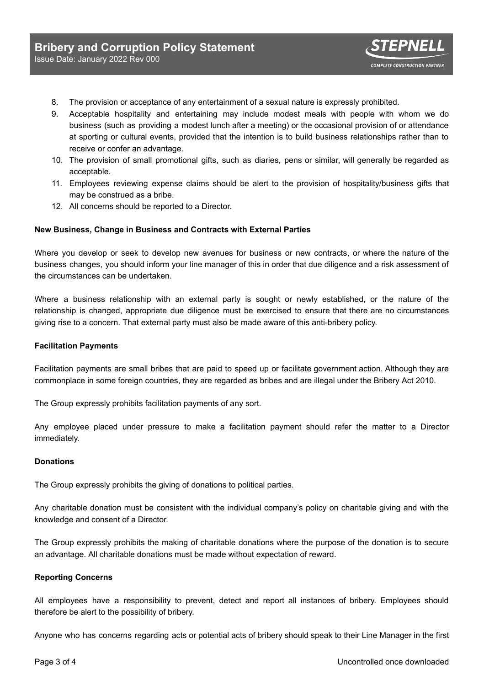- 8. The provision or acceptance of any entertainment of a sexual nature is expressly prohibited.
- 9. Acceptable hospitality and entertaining may include modest meals with people with whom we do business (such as providing a modest lunch after a meeting) or the occasional provision of or attendance at sporting or cultural events, provided that the intention is to build business relationships rather than to receive or confer an advantage.
- 10. The provision of small promotional gifts, such as diaries, pens or similar, will generally be regarded as acceptable.
- 11. Employees reviewing expense claims should be alert to the provision of hospitality/business gifts that may be construed as a bribe.
- 12. All concerns should be reported to a Director.

#### **New Business, Change in Business and Contracts with External Parties**

Where you develop or seek to develop new avenues for business or new contracts, or where the nature of the business changes, you should inform your line manager of this in order that due diligence and a risk assessment of the circumstances can be undertaken.

Where a business relationship with an external party is sought or newly established, or the nature of the relationship is changed, appropriate due diligence must be exercised to ensure that there are no circumstances giving rise to a concern. That external party must also be made aware of this anti-bribery policy.

#### **Facilitation Payments**

Facilitation payments are small bribes that are paid to speed up or facilitate government action. Although they are commonplace in some foreign countries, they are regarded as bribes and are illegal under the Bribery Act 2010.

The Group expressly prohibits facilitation payments of any sort.

Any employee placed under pressure to make a facilitation payment should refer the matter to a Director immediately.

### **Donations**

The Group expressly prohibits the giving of donations to political parties.

Any charitable donation must be consistent with the individual company's policy on charitable giving and with the knowledge and consent of a Director.

The Group expressly prohibits the making of charitable donations where the purpose of the donation is to secure an advantage. All charitable donations must be made without expectation of reward.

#### **Reporting Concerns**

All employees have a responsibility to prevent, detect and report all instances of bribery. Employees should therefore be alert to the possibility of bribery.

Anyone who has concerns regarding acts or potential acts of bribery should speak to their Line Manager in the first